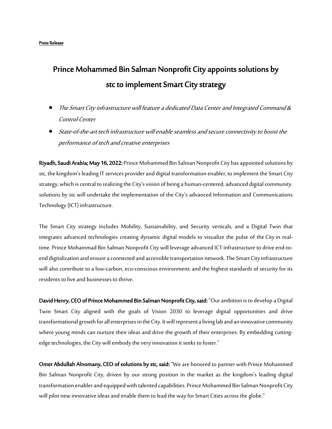#### Press Release

# Prince Mohammed Bin Salman Nonprofit City appoints solutions by stc to implement Smart City strategy

- The Smart City infrastructure will feature a dedicated Data Center and Integrated Command & Control Center
- State-of-the-art tech infrastructure will enable seamless and secure connectivity to boost the performance of tech and creative enterprises

Riyadh, Saudi Arabia; May 16, 2022: Prince Mohammed Bin Salman Nonprofit City has appointed solutions by stc, the kingdom's leading IT services provider and digital transformation enabler, to implement the Smart City strategy, which is central to realizing the City'svision of being a human-centered, advanced digital community. solutions by stc will undertake the implementation of the City's advanced Information and Communications Technology (ICT) infrastructure.

The Smart City strategy includes Mobility, Sustainability, and Security verticals, and a Digital Twin that integrates advanced technologies creating dynamic digital models to visualize the pulse of the Cityin realtime. Prince Mohammad Bin Salman Nonprofit City will leverage advanced ICT infrastructure to drive end-toend digitalization and ensure a connected and accessible transportation network. The Smart City infrastructure will also contribute to a low-carbon, eco-conscious environment; and the highest standards of security for its residents to live and businesses to thrive.

David Henry, CEO of Prince Mohammed Bin Salman Nonprofit City, said: "Our ambition is to develop a Digital Twin Smart City aligned with the goals of Vision 2030 to leverage digital opportunities and drive transformational growth for all enterprises in the City. It will represent a living lab and an innovative community where young minds can nurture their ideas and drive the growth of their enterprises. By embedding cuttingedge technologies, the City will embody the very innovation it seeks to foster."

Omer Abdullah Alnomany, CEO of solutions by stc, said: "We are honored to partner with Prince Mohammed Bin Salman Nonprofit City, driven by our strong position in the market as the kingdom's leading digital transformation enabler and equipped with talented capabilities. Prince Mohammed Bin Salman Nonprofit City will pilot new innovative ideas and enable them to lead the way for Smart Cities across the globe."